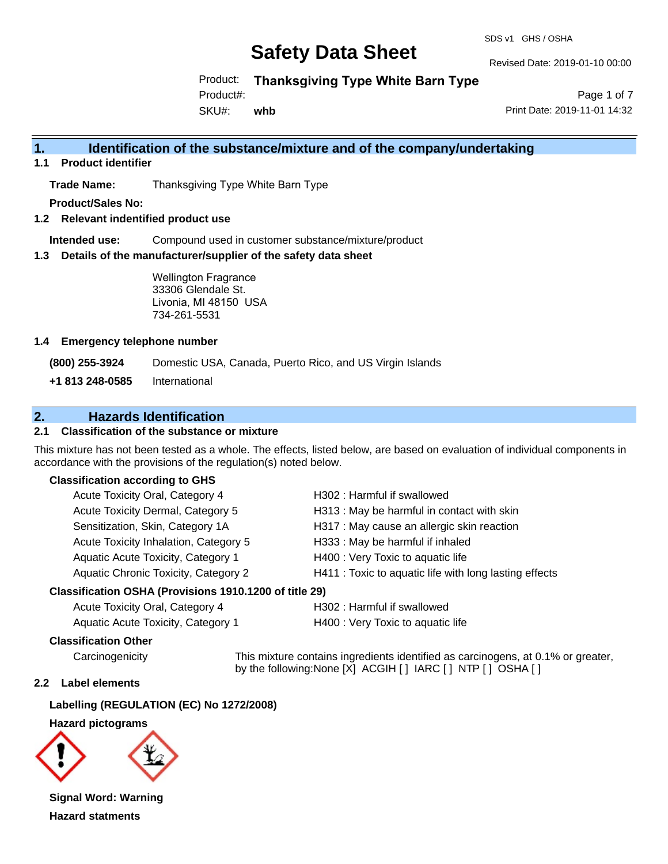#### SDS v1 GHS / OSHA

# **Safety Data Sheet**

Revised Date: 2019-01-10 00:00

Product: **Thanksgiving Type White Barn Type**

Product#:

SKU#: **whb**

Page 1 of 7 Print Date: 2019-11-01 14:32

## **1. Identification of the substance/mixture and of the company/undertaking**

**1.1 Product identifier**

**Trade Name:** Thanksgiving Type White Barn Type

**Product/Sales No:**

**1.2 Relevant indentified product use**

**Intended use:** Compound used in customer substance/mixture/product

**1.3 Details of the manufacturer/supplier of the safety data sheet**

Wellington Fragrance 33306 Glendale St. Livonia, MI 48150 USA 734-261-5531

#### **1.4 Emergency telephone number**

**(800) 255-3924** Domestic USA, Canada, Puerto Rico, and US Virgin Islands

**+1 813 248-0585** International

# **2. Hazards Identification**

### **2.1 Classification of the substance or mixture**

This mixture has not been tested as a whole. The effects, listed below, are based on evaluation of individual components in accordance with the provisions of the regulation(s) noted below.

#### **Classification according to GHS**

| Acute Toxicity Oral, Category 4       | H302: Harmful if swallowed                             |
|---------------------------------------|--------------------------------------------------------|
| Acute Toxicity Dermal, Category 5     | H313: May be harmful in contact with skin              |
| Sensitization, Skin, Category 1A      | H317 : May cause an allergic skin reaction             |
| Acute Toxicity Inhalation, Category 5 | H333: May be harmful if inhaled                        |
| Aquatic Acute Toxicity, Category 1    | H400 : Very Toxic to aquatic life                      |
| Aquatic Chronic Toxicity, Category 2  | H411 : Toxic to aquatic life with long lasting effects |
|                                       |                                                        |

#### **Classification OSHA (Provisions 1910.1200 of title 29)**

| Acute Toxicity Oral, Category 4    |  |
|------------------------------------|--|
| Aquatic Acute Toxicity, Category 1 |  |

H302 : Harmful if swallowed

H400 : Very Toxic to aquatic life

#### **Classification Other**

Carcinogenicity This mixture contains ingredients identified as carcinogens, at 0.1% or greater, by the following:None [X] ACGIH [ ] IARC [ ] NTP [ ] OSHA [ ]

#### **2.2 Label elements**

**Labelling (REGULATION (EC) No 1272/2008)**

**Hazard pictograms**



**Signal Word: Warning Hazard statments**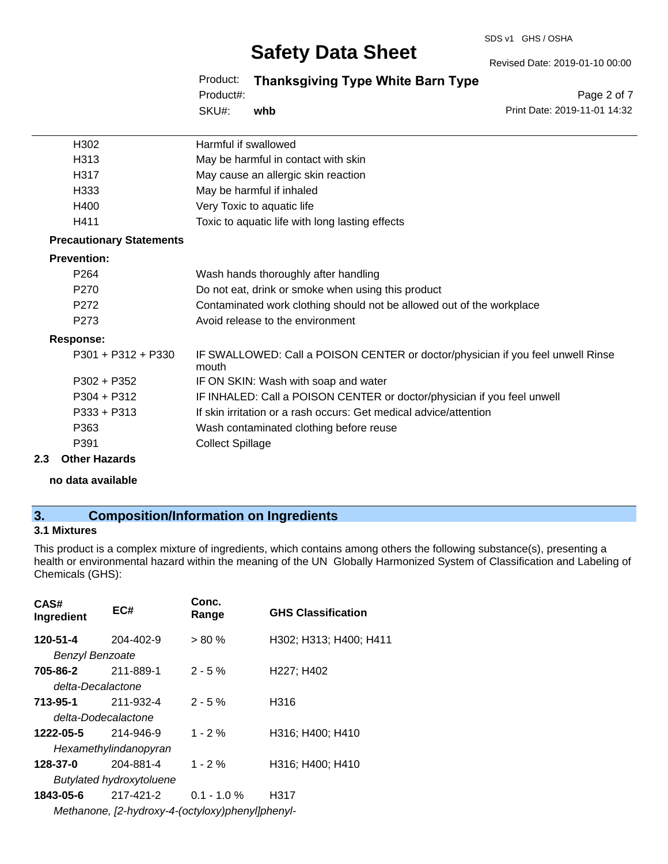#### SDS v1 GHS / OSHA

# **Safety Data Sheet**

Revised Date: 2019-01-10 00:00

Page 2 of 7

Product: **Thanksgiving Type White Barn Type**

SKU#: Product#: **whb**

|      | SKU#:<br>whb                                    | Print Date: 2019-11-01 14:32 |
|------|-------------------------------------------------|------------------------------|
| H302 |                                                 |                              |
|      | Harmful if swallowed                            |                              |
| H313 | May be harmful in contact with skin             |                              |
| H317 | May cause an allergic skin reaction             |                              |
| H333 | May be harmful if inhaled                       |                              |
| H400 | Very Toxic to aquatic life                      |                              |
| H411 | Toxic to aquatic life with long lasting effects |                              |

#### **Precautionary Statements**

## **Preventi**

| <b>Prevention:</b>   |                                                                                          |
|----------------------|------------------------------------------------------------------------------------------|
| P <sub>264</sub>     | Wash hands thoroughly after handling                                                     |
| P <sub>270</sub>     | Do not eat, drink or smoke when using this product                                       |
| P <sub>272</sub>     | Contaminated work clothing should not be allowed out of the workplace                    |
| P <sub>273</sub>     | Avoid release to the environment                                                         |
| Response:            |                                                                                          |
| $P301 + P312 + P330$ | IF SWALLOWED: Call a POISON CENTER or doctor/physician if you feel unwell Rinse<br>mouth |
| $P302 + P352$        | IF ON SKIN: Wash with soap and water                                                     |
| $P304 + P312$        | IF INHALED: Call a POISON CENTER or doctor/physician if you feel unwell                  |
| $P333 + P313$        | If skin irritation or a rash occurs: Get medical advice/attention                        |
| P363                 | Wash contaminated clothing before reuse                                                  |
| P391                 | <b>Collect Spillage</b>                                                                  |
|                      |                                                                                          |

#### **2.3 Other Hazards**

**no data available**

# **3. Composition/Information on Ingredients**

### **3.1 Mixtures**

This product is a complex mixture of ingredients, which contains among others the following substance(s), presenting a health or environmental hazard within the meaning of the UN Globally Harmonized System of Classification and Labeling of Chemicals (GHS):

| CAS#<br>Ingredient              | EC#                                              | Conc.<br>Range | <b>GHS Classification</b>           |
|---------------------------------|--------------------------------------------------|----------------|-------------------------------------|
| 120-51-4                        | 204-402-9                                        | $> 80 \%$      | H302; H313; H400; H411              |
| <b>Benzyl Benzoate</b>          |                                                  |                |                                     |
| 705-86-2                        | 211-889-1                                        | $2 - 5%$       | H <sub>227</sub> ; H <sub>402</sub> |
| delta-Decalactone               |                                                  |                |                                     |
| 713-95-1                        | 211-932-4                                        | $2 - 5%$       | H <sub>316</sub>                    |
| delta-Dodecalactone             |                                                  |                |                                     |
| 1222-05-5                       | 214-946-9                                        | $1 - 2%$       | H316; H400; H410                    |
| Hexamethylindanopyran           |                                                  |                |                                     |
| 128-37-0                        | 204-881-4                                        | $1 - 2%$       | H316; H400; H410                    |
| <b>Butylated hydroxytoluene</b> |                                                  |                |                                     |
| 1843-05-6<br>217-421-2          |                                                  | $0.1 - 1.0 \%$ | H317                                |
|                                 | Methanone, [2-hydroxy-4-(octyloxy)phenyl]phenyl- |                |                                     |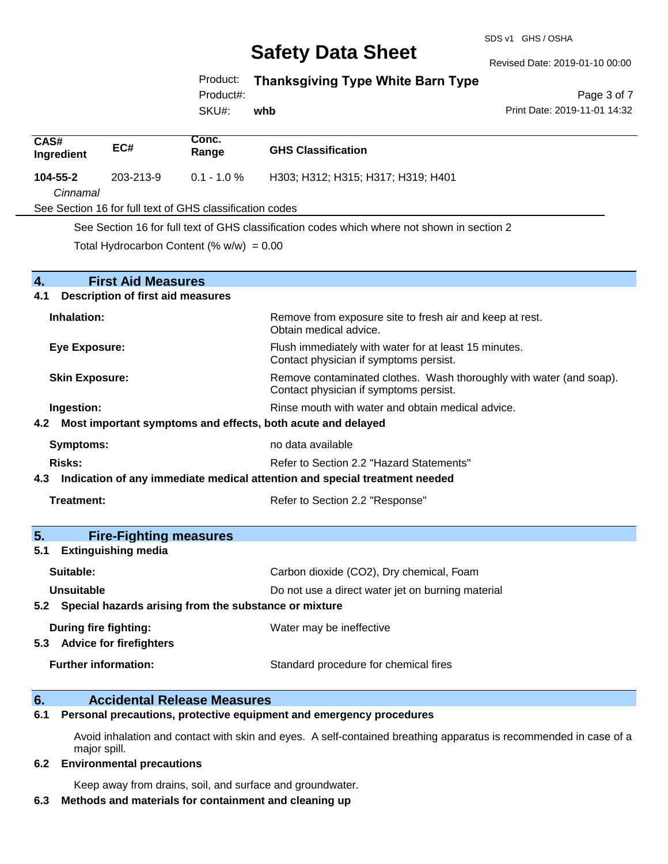SDS v1 GHS / OSHA

Revised Date: 2019-01-10 00:00

Product: **Thanksgiving Type White Barn Type**

Product#:

SKU#: **whb**

Page 3 of 7 Print Date: 2019-11-01 14:32

| CAS#<br>Ingredient                                                                | EC#                                                         | Conc.<br>Range                                            | <b>GHS Classification</b>                                                                                     |
|-----------------------------------------------------------------------------------|-------------------------------------------------------------|-----------------------------------------------------------|---------------------------------------------------------------------------------------------------------------|
| 104-55-2<br>Cinnamal                                                              | 203-213-9                                                   | $0.1 - 1.0 \%$                                            | H303; H312; H315; H317; H319; H401                                                                            |
|                                                                                   |                                                             | See Section 16 for full text of GHS classification codes  |                                                                                                               |
|                                                                                   |                                                             |                                                           | See Section 16 for full text of GHS classification codes which where not shown in section 2                   |
|                                                                                   |                                                             | Total Hydrocarbon Content (% $w/w$ ) = 0.00               |                                                                                                               |
| $\overline{4}$ .                                                                  | <b>First Aid Measures</b>                                   |                                                           |                                                                                                               |
| 4.1                                                                               | <b>Description of first aid measures</b>                    |                                                           |                                                                                                               |
| Inhalation:                                                                       |                                                             |                                                           | Remove from exposure site to fresh air and keep at rest.<br>Obtain medical advice.                            |
| <b>Eye Exposure:</b>                                                              |                                                             |                                                           | Flush immediately with water for at least 15 minutes.<br>Contact physician if symptoms persist.               |
| <b>Skin Exposure:</b>                                                             |                                                             |                                                           | Remove contaminated clothes. Wash thoroughly with water (and soap).<br>Contact physician if symptoms persist. |
| Ingestion:                                                                        |                                                             |                                                           | Rinse mouth with water and obtain medical advice.                                                             |
| 4.2 Most important symptoms and effects, both acute and delayed                   |                                                             |                                                           |                                                                                                               |
| <b>Symptoms:</b>                                                                  |                                                             |                                                           | no data available                                                                                             |
| <b>Risks:</b>                                                                     |                                                             |                                                           | Refer to Section 2.2 "Hazard Statements"                                                                      |
| Indication of any immediate medical attention and special treatment needed<br>4.3 |                                                             |                                                           |                                                                                                               |
| Treatment:                                                                        |                                                             |                                                           | Refer to Section 2.2 "Response"                                                                               |
| 5.<br>5.1                                                                         | <b>Fire-Fighting measures</b><br><b>Extinguishing media</b> |                                                           |                                                                                                               |
| Suitable:                                                                         |                                                             |                                                           | Carbon dioxide (CO2), Dry chemical, Foam                                                                      |
| Unsuitable                                                                        |                                                             |                                                           | Do not use a direct water jet on burning material                                                             |
|                                                                                   |                                                             | 5.2 Special hazards arising from the substance or mixture |                                                                                                               |
| <b>During fire fighting:</b><br>5.3 Advice for firefighters                       |                                                             |                                                           | Water may be ineffective                                                                                      |
| <b>Further information:</b>                                                       |                                                             |                                                           | Standard procedure for chemical fires                                                                         |

## **6. Accidental Release Measures**

**6.1 Personal precautions, protective equipment and emergency procedures**

Avoid inhalation and contact with skin and eyes. A self-contained breathing apparatus is recommended in case of a major spill.

#### **6.2 Environmental precautions**

Keep away from drains, soil, and surface and groundwater.

### **6.3 Methods and materials for containment and cleaning up**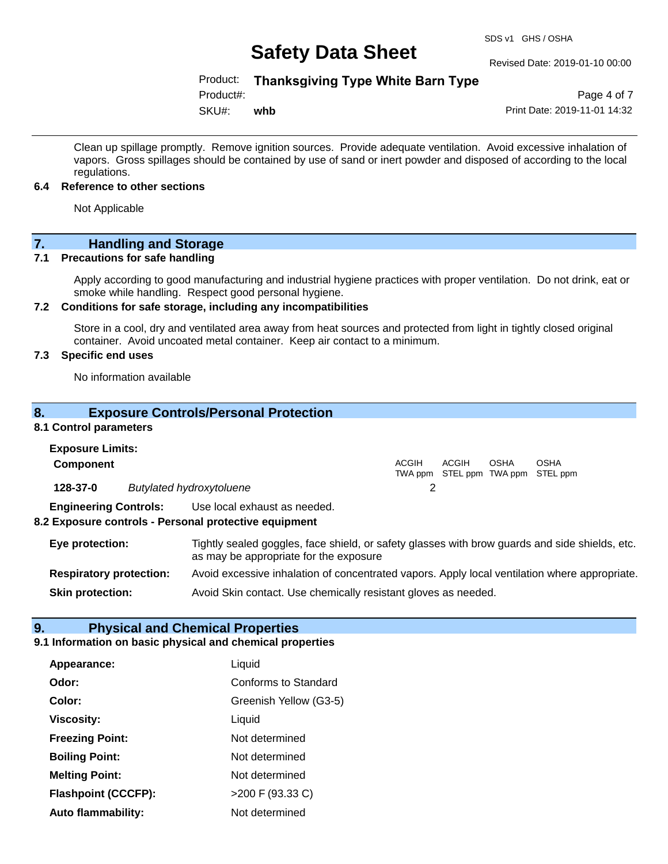SDS v1 GHS / OSHA

#### Revised Date: 2019-01-10 00:00

# Product: **Thanksgiving Type White Barn Type**

Product#:

SKU#: **whb**

Page 4 of 7 Print Date: 2019-11-01 14:32

Clean up spillage promptly. Remove ignition sources. Provide adequate ventilation. Avoid excessive inhalation of vapors. Gross spillages should be contained by use of sand or inert powder and disposed of according to the local regulations.

#### **6.4 Reference to other sections**

Not Applicable

# **7.** Handling and Storage<br> **7.1** Precautions for safe handling

#### **Precautions for safe handling**

Apply according to good manufacturing and industrial hygiene practices with proper ventilation. Do not drink, eat or smoke while handling. Respect good personal hygiene.

#### **7.2 Conditions for safe storage, including any incompatibilities**

Store in a cool, dry and ventilated area away from heat sources and protected from light in tightly closed original container. Avoid uncoated metal container. Keep air contact to a minimum.

### **7.3 Specific end uses**

No information available

#### **8. Exposure Controls/Personal Protection**

#### **8.1 Control parameters**

| <b>Exposure Limits:</b>        |  |                                                                                                                                          |              |                                            |             |      |  |
|--------------------------------|--|------------------------------------------------------------------------------------------------------------------------------------------|--------------|--------------------------------------------|-------------|------|--|
| <b>Component</b>               |  |                                                                                                                                          | <b>ACGIH</b> | ACGIH<br>TWA ppm STEL ppm TWA ppm STEL ppm | <b>OSHA</b> | OSHA |  |
| 128-37-0                       |  | <b>Butylated hydroxytoluene</b>                                                                                                          | 2            |                                            |             |      |  |
| <b>Engineering Controls:</b>   |  | Use local exhaust as needed.<br>8.2 Exposure controls - Personal protective equipment                                                    |              |                                            |             |      |  |
| Eye protection:                |  | Tightly sealed goggles, face shield, or safety glasses with brow guards and side shields, etc.<br>as may be appropriate for the exposure |              |                                            |             |      |  |
| <b>Respiratory protection:</b> |  | Avoid excessive inhalation of concentrated vapors. Apply local ventilation where appropriate.                                            |              |                                            |             |      |  |
| <b>Skin protection:</b>        |  | Avoid Skin contact. Use chemically resistant gloves as needed.                                                                           |              |                                            |             |      |  |

### **9. Physical and Chemical Properties**

#### **9.1 Information on basic physical and chemical properties**

| Appearance:                | Liquid                      |
|----------------------------|-----------------------------|
| Odor:                      | <b>Conforms to Standard</b> |
| Color:                     | Greenish Yellow (G3-5)      |
| <b>Viscosity:</b>          | Liquid                      |
| <b>Freezing Point:</b>     | Not determined              |
| <b>Boiling Point:</b>      | Not determined              |
| <b>Melting Point:</b>      | Not determined              |
| <b>Flashpoint (CCCFP):</b> | >200 F (93.33 C)            |
| <b>Auto flammability:</b>  | Not determined              |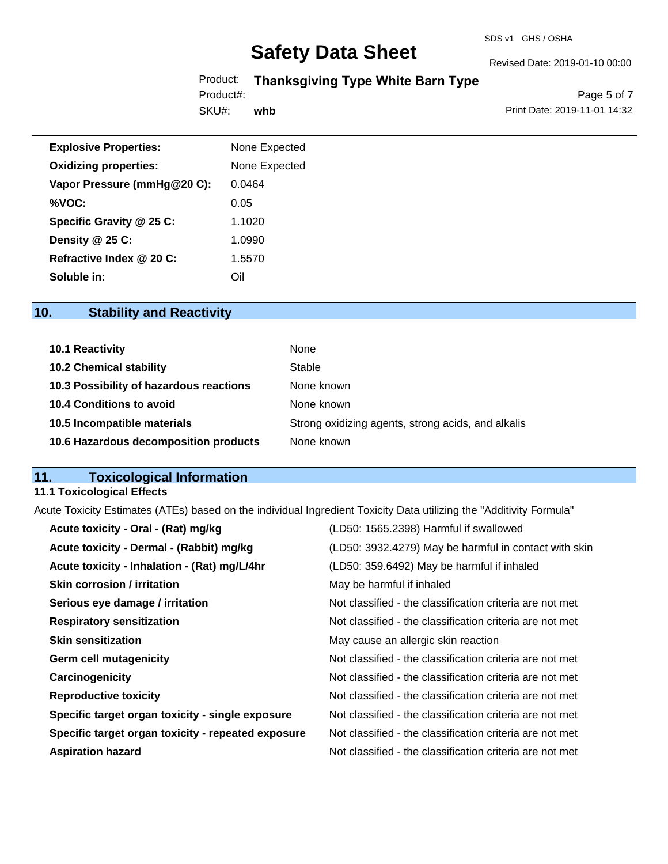#### Revised Date: 2019-01-10 00:00

# Product: **Thanksgiving Type White Barn Type**

SKU#: Product#:

**whb**

Page 5 of 7 Print Date: 2019-11-01 14:32

| <b>Explosive Properties:</b> | None Expected |
|------------------------------|---------------|
| <b>Oxidizing properties:</b> | None Expected |
| Vapor Pressure (mmHg@20 C):  | 0.0464        |
| %VOC:                        | 0.05          |
| Specific Gravity @ 25 C:     | 1.1020        |
| Density @ 25 C:              | 1.0990        |
| Refractive Index @ 20 C:     | 1.5570        |
| Soluble in:                  | Oil           |

# **10. Stability and Reactivity**

| 10.1 Reactivity                         | None                                               |
|-----------------------------------------|----------------------------------------------------|
| <b>10.2 Chemical stability</b>          | Stable                                             |
| 10.3 Possibility of hazardous reactions | None known                                         |
| 10.4 Conditions to avoid                | None known                                         |
| 10.5 Incompatible materials             | Strong oxidizing agents, strong acids, and alkalis |
| 10.6 Hazardous decomposition products   | None known                                         |

# **11. Toxicological Information**

### **11.1 Toxicological Effects**

Acute Toxicity Estimates (ATEs) based on the individual Ingredient Toxicity Data utilizing the "Additivity Formula"

| Acute toxicity - Oral - (Rat) mg/kg                | (LD50: 1565.2398) Harmful if swallowed                   |
|----------------------------------------------------|----------------------------------------------------------|
| Acute toxicity - Dermal - (Rabbit) mg/kg           | (LD50: 3932.4279) May be harmful in contact with skin    |
| Acute toxicity - Inhalation - (Rat) mg/L/4hr       | (LD50: 359.6492) May be harmful if inhaled               |
| <b>Skin corrosion / irritation</b>                 | May be harmful if inhaled                                |
| Serious eye damage / irritation                    | Not classified - the classification criteria are not met |
| <b>Respiratory sensitization</b>                   | Not classified - the classification criteria are not met |
| <b>Skin sensitization</b>                          | May cause an allergic skin reaction                      |
| <b>Germ cell mutagenicity</b>                      | Not classified - the classification criteria are not met |
| Carcinogenicity                                    | Not classified - the classification criteria are not met |
| <b>Reproductive toxicity</b>                       | Not classified - the classification criteria are not met |
| Specific target organ toxicity - single exposure   | Not classified - the classification criteria are not met |
| Specific target organ toxicity - repeated exposure | Not classified - the classification criteria are not met |
| <b>Aspiration hazard</b>                           | Not classified - the classification criteria are not met |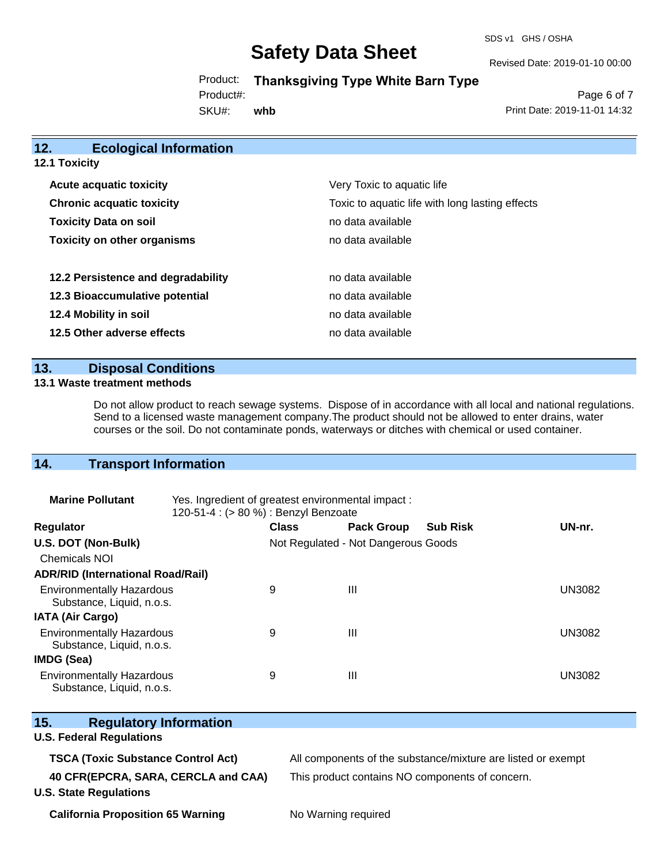SDS v1 GHS / OSHA

Revised Date: 2019-01-10 00:00

Product: **Thanksgiving Type White Barn Type**

Product#:

SKU#: **whb**

Page 6 of 7 Print Date: 2019-11-01 14:32

| 12.                  | <b>Ecological Information</b>      |                                                 |  |  |
|----------------------|------------------------------------|-------------------------------------------------|--|--|
| <b>12.1 Toxicity</b> |                                    |                                                 |  |  |
|                      | <b>Acute acquatic toxicity</b>     | Very Toxic to aquatic life                      |  |  |
|                      | <b>Chronic acquatic toxicity</b>   | Toxic to aquatic life with long lasting effects |  |  |
|                      | <b>Toxicity Data on soil</b>       | no data available                               |  |  |
|                      | <b>Toxicity on other organisms</b> | no data available                               |  |  |
|                      | 12.2 Persistence and degradability | no data available                               |  |  |
|                      | 12.3 Bioaccumulative potential     | no data available                               |  |  |
|                      | 12.4 Mobility in soil              | no data available                               |  |  |
|                      | 12.5 Other adverse effects         | no data available                               |  |  |
|                      |                                    |                                                 |  |  |

# **13. Disposal Conditions**

#### **13.1 Waste treatment methods**

Do not allow product to reach sewage systems. Dispose of in accordance with all local and national regulations. Send to a licensed waste management company.The product should not be allowed to enter drains, water courses or the soil. Do not contaminate ponds, waterways or ditches with chemical or used container.

# **14. Transport Information**

| <b>Marine Pollutant</b>                                       | Yes. Ingredient of greatest environmental impact:<br>120-51-4 : (> 80 %) : Benzyl Benzoate |                                     |                   |                 |               |
|---------------------------------------------------------------|--------------------------------------------------------------------------------------------|-------------------------------------|-------------------|-----------------|---------------|
| <b>Regulator</b>                                              |                                                                                            | <b>Class</b>                        | <b>Pack Group</b> | <b>Sub Risk</b> | UN-nr.        |
| U.S. DOT (Non-Bulk)                                           |                                                                                            | Not Regulated - Not Dangerous Goods |                   |                 |               |
| <b>Chemicals NOI</b>                                          |                                                                                            |                                     |                   |                 |               |
| <b>ADR/RID (International Road/Rail)</b>                      |                                                                                            |                                     |                   |                 |               |
| <b>Environmentally Hazardous</b><br>Substance, Liquid, n.o.s. |                                                                                            | 9                                   | Ш                 |                 | <b>UN3082</b> |
| <b>IATA (Air Cargo)</b>                                       |                                                                                            |                                     |                   |                 |               |
| <b>Environmentally Hazardous</b><br>Substance, Liquid, n.o.s. |                                                                                            | 9                                   | Ш                 |                 | UN3082        |
| <b>IMDG (Sea)</b>                                             |                                                                                            |                                     |                   |                 |               |
| <b>Environmentally Hazardous</b><br>Substance, Liquid, n.o.s. |                                                                                            | 9                                   | Ш                 |                 | <b>UN3082</b> |

| 15.<br><b>Regulatory Information</b>      |                                                              |
|-------------------------------------------|--------------------------------------------------------------|
| <b>U.S. Federal Regulations</b>           |                                                              |
| <b>TSCA (Toxic Substance Control Act)</b> | All components of the substance/mixture are listed or exempt |
| 40 CFR(EPCRA, SARA, CERCLA and CAA)       | This product contains NO components of concern.              |
| <b>U.S. State Regulations</b>             |                                                              |
| <b>California Proposition 65 Warning</b>  | No Warning required                                          |